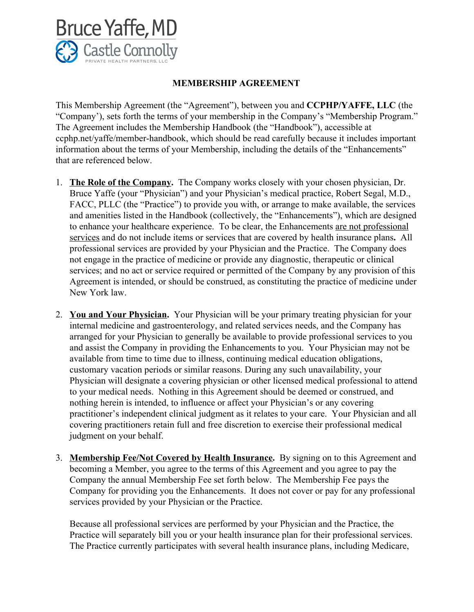

## **MEMBERSHIP AGREEMENT**

 This Membership Agreement (the "Agreement"), between you and **CCPHP/YAFFE, LLC** (the "Company'), sets forth the terms of your membership in the Company's "Membership Program." The Agreement includes the Membership Handbook (the "Handbook"), accessible at ccphp.net/yaffe/member-handbook, which should be read carefully because it includes important information about the terms of your Membership, including the details of the "Enhancements" that are referenced below.

- 1. **The Role of the Company.** The Company works closely with your chosen physician, Dr. Bruce Yaffe (your "Physician") and your Physician's medical practice, Robert Segal, M.D., FACC, PLLC (the "Practice") to provide you with, or arrange to make available, the services and amenities listed in the Handbook (collectively, the "Enhancements"), which are designed to enhance your healthcare experience. To be clear, the Enhancements are not professional services and do not include items or services that are covered by health insurance plans**.** All professional services are provided by your Physician and the Practice. The Company does not engage in the practice of medicine or provide any diagnostic, therapeutic or clinical services; and no act or service required or permitted of the Company by any provision of this Agreement is intended, or should be construed, as constituting the practice of medicine under New York law.
- 2. **You and Your Physician.** Your Physician will be your primary treating physician for your internal medicine and gastroenterology, and related services needs, and the Company has arranged for your Physician to generally be available to provide professional services to you and assist the Company in providing the Enhancements to you. Your Physician may not be available from time to time due to illness, continuing medical education obligations, customary vacation periods or similar reasons. During any such unavailability, your Physician will designate a covering physician or other licensed medical professional to attend to your medical needs. Nothing in this Agreement should be deemed or construed, and nothing herein is intended, to influence or affect your Physician's or any covering practitioner's independent clinical judgment as it relates to your care. Your Physician and all covering practitioners retain full and free discretion to exercise their professional medical judgment on your behalf.
- 3. **Membership Fee/Not Covered by Health Insurance.** By signing on to this Agreement and becoming a Member, you agree to the terms of this Agreement and you agree to pay the Company the annual Membership Fee set forth below. The Membership Fee pays the Company for providing you the Enhancements. It does not cover or pay for any professional services provided by your Physician or the Practice.

Because all professional services are performed by your Physician and the Practice, the Practice will separately bill you or your health insurance plan for their professional services. The Practice currently participates with several health insurance plans, including Medicare,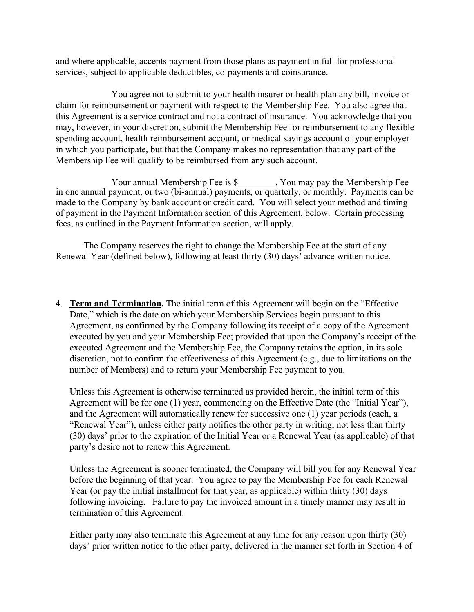and where applicable, accepts payment from those plans as payment in full for professional services, subject to applicable deductibles, co-payments and coinsurance.

 You agree not to submit to your health insurer or health plan any bill, invoice or claim for reimbursement or payment with respect to the Membership Fee. You also agree that this Agreement is a service contract and not a contract of insurance. You acknowledge that you may, however, in your discretion, submit the Membership Fee for reimbursement to any flexible spending account, health reimbursement account, or medical savings account of your employer in which you participate, but that the Company makes no representation that any part of the Membership Fee will qualify to be reimbursed from any such account.

Your annual Membership Fee is \$\_\_\_\_\_\_\_\_. You may pay the Membership Fee in one annual payment, or two (bi-annual) payments, or quarterly, or monthly. Payments can be made to the Company by bank account or credit card. You will select your method and timing of payment in the Payment Information section of this Agreement, below. Certain processing fees, as outlined in the Payment Information section, will apply.

The Company reserves the right to change the Membership Fee at the start of any Renewal Year (defined below), following at least thirty (30) days' advance written notice.

4. **Term and Termination.** The initial term of this Agreement will begin on the "Effective Date," which is the date on which your Membership Services begin pursuant to this Agreement, as confirmed by the Company following its receipt of a copy of the Agreement executed by you and your Membership Fee; provided that upon the Company's receipt of the executed Agreement and the Membership Fee, the Company retains the option, in its sole discretion, not to confirm the effectiveness of this Agreement (e.g., due to limitations on the number of Members) and to return your Membership Fee payment to you.

Unless this Agreement is otherwise terminated as provided herein, the initial term of this Agreement will be for one (1) year, commencing on the Effective Date (the "Initial Year"), and the Agreement will automatically renew for successive one (1) year periods (each, a "Renewal Year"), unless either party notifies the other party in writing, not less than thirty (30) days' prior to the expiration of the Initial Year or a Renewal Year (as applicable) of that party's desire not to renew this Agreement.

 Unless the Agreement is sooner terminated, the Company will bill you for any Renewal Year before the beginning of that year. You agree to pay the Membership Fee for each Renewal Year (or pay the initial installment for that year, as applicable) within thirty (30) days following invoicing. Failure to pay the invoiced amount in a timely manner may result in termination of this Agreement.

 Either party may also terminate this Agreement at any time for any reason upon thirty (30) days' prior written notice to the other party, delivered in the manner set forth in Section 4 of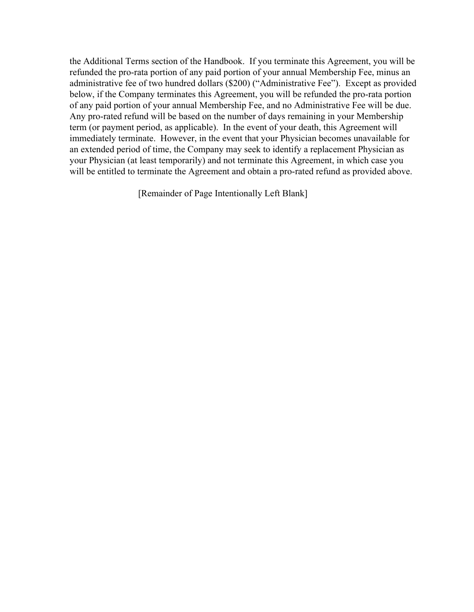the Additional Terms section of the Handbook. If you terminate this Agreement, you will be refunded the pro-rata portion of any paid portion of your annual Membership Fee, minus an administrative fee of two hundred dollars (\$200) ("Administrative Fee"). Except as provided below, if the Company terminates this Agreement, you will be refunded the pro-rata portion of any paid portion of your annual Membership Fee, and no Administrative Fee will be due. Any pro-rated refund will be based on the number of days remaining in your Membership term (or payment period, as applicable). In the event of your death, this Agreement will immediately terminate. However, in the event that your Physician becomes unavailable for an extended period of time, the Company may seek to identify a replacement Physician as your Physician (at least temporarily) and not terminate this Agreement, in which case you will be entitled to terminate the Agreement and obtain a pro-rated refund as provided above.

[Remainder of Page Intentionally Left Blank]